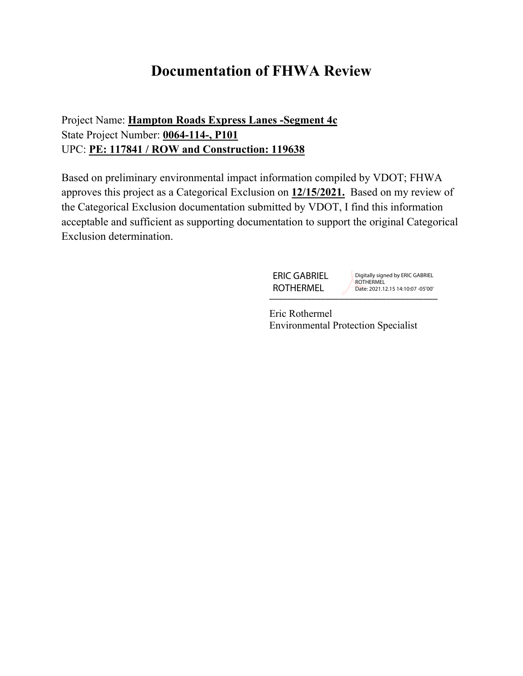# **Documentation of FHWA Review**

Project Name: **Hampton Roads Express Lanes -Segment 4c** State Project Number: **0064-114-, P101** UPC: **PE: 117841 / ROW and Construction: 119638**

Based on preliminary environmental impact information compiled by VDOT; FHWA approves this project as a Categorical Exclusion on **12/15/2021.** Based on my review of the Categorical Exclusion documentation submitted by VDOT, I find this information acceptable and sufficient as supporting documentation to support the original Categorical Exclusion determination.

> \_\_\_\_\_\_\_\_\_\_\_\_\_\_\_\_\_\_\_\_\_\_\_\_\_\_\_\_\_\_\_\_\_\_\_\_ ERIC GABRIEL ROTHERMEL

Digitally signed by ERIC GABRIEL **ROTHERMEL** Date: 2021.12.15 14:10:07 -05'00'

Eric Rothermel Environmental Protection Specialist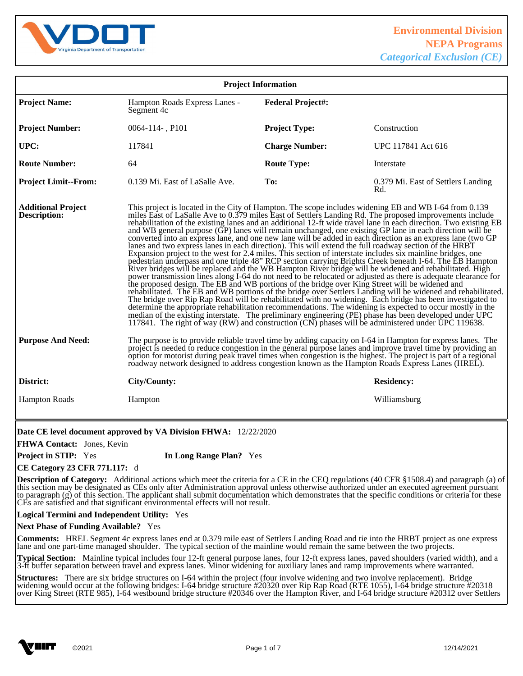

| <b>Project Information</b>                                                                                                                                                                                                                                                                                                                                                                                                       |                                                                                                                                                                                                                                                                                                                                                                                                                                                                                                                                                                                                                                                                                                                                                                                                                                                                                                                                                                                                                                                                                                                                                                                                                                                                                                                                                                                                                                                                                                                                                                                                                                                                                                                                                                                      |                          |                                                                                                                                                                                                                                                                                                                                                                                                                                                   |
|----------------------------------------------------------------------------------------------------------------------------------------------------------------------------------------------------------------------------------------------------------------------------------------------------------------------------------------------------------------------------------------------------------------------------------|--------------------------------------------------------------------------------------------------------------------------------------------------------------------------------------------------------------------------------------------------------------------------------------------------------------------------------------------------------------------------------------------------------------------------------------------------------------------------------------------------------------------------------------------------------------------------------------------------------------------------------------------------------------------------------------------------------------------------------------------------------------------------------------------------------------------------------------------------------------------------------------------------------------------------------------------------------------------------------------------------------------------------------------------------------------------------------------------------------------------------------------------------------------------------------------------------------------------------------------------------------------------------------------------------------------------------------------------------------------------------------------------------------------------------------------------------------------------------------------------------------------------------------------------------------------------------------------------------------------------------------------------------------------------------------------------------------------------------------------------------------------------------------------|--------------------------|---------------------------------------------------------------------------------------------------------------------------------------------------------------------------------------------------------------------------------------------------------------------------------------------------------------------------------------------------------------------------------------------------------------------------------------------------|
| <b>Project Name:</b>                                                                                                                                                                                                                                                                                                                                                                                                             | Hampton Roads Express Lanes -<br>Segment 4c                                                                                                                                                                                                                                                                                                                                                                                                                                                                                                                                                                                                                                                                                                                                                                                                                                                                                                                                                                                                                                                                                                                                                                                                                                                                                                                                                                                                                                                                                                                                                                                                                                                                                                                                          | <b>Federal Project#:</b> |                                                                                                                                                                                                                                                                                                                                                                                                                                                   |
| <b>Project Number:</b>                                                                                                                                                                                                                                                                                                                                                                                                           | $0064 - 114 -$ , P101                                                                                                                                                                                                                                                                                                                                                                                                                                                                                                                                                                                                                                                                                                                                                                                                                                                                                                                                                                                                                                                                                                                                                                                                                                                                                                                                                                                                                                                                                                                                                                                                                                                                                                                                                                | <b>Project Type:</b>     | Construction                                                                                                                                                                                                                                                                                                                                                                                                                                      |
| UPC:                                                                                                                                                                                                                                                                                                                                                                                                                             | 117841                                                                                                                                                                                                                                                                                                                                                                                                                                                                                                                                                                                                                                                                                                                                                                                                                                                                                                                                                                                                                                                                                                                                                                                                                                                                                                                                                                                                                                                                                                                                                                                                                                                                                                                                                                               | <b>Charge Number:</b>    | UPC 117841 Act 616                                                                                                                                                                                                                                                                                                                                                                                                                                |
| <b>Route Number:</b>                                                                                                                                                                                                                                                                                                                                                                                                             | 64                                                                                                                                                                                                                                                                                                                                                                                                                                                                                                                                                                                                                                                                                                                                                                                                                                                                                                                                                                                                                                                                                                                                                                                                                                                                                                                                                                                                                                                                                                                                                                                                                                                                                                                                                                                   | <b>Route Type:</b>       | Interstate                                                                                                                                                                                                                                                                                                                                                                                                                                        |
| <b>Project Limit--From:</b>                                                                                                                                                                                                                                                                                                                                                                                                      | 0.139 Mi. East of LaSalle Ave.                                                                                                                                                                                                                                                                                                                                                                                                                                                                                                                                                                                                                                                                                                                                                                                                                                                                                                                                                                                                                                                                                                                                                                                                                                                                                                                                                                                                                                                                                                                                                                                                                                                                                                                                                       | To:                      | 0.379 Mi. East of Settlers Landing<br>Rd.                                                                                                                                                                                                                                                                                                                                                                                                         |
| <b>Additional Project</b><br><b>Description:</b>                                                                                                                                                                                                                                                                                                                                                                                 | This project is located in the City of Hampton. The scope includes widening EB and WB I-64 from 0.139<br>miles East of LaSalle Ave to 0.379 miles East of Settlers Landing Rd. The proposed improvements include<br>rehabilitation of the existing lanes and an additional 12-ft wide travel lane in each direction. Two existing EB<br>and WB general purpose (GP) lanes will remain unchanged, one existing GP lane in each direction will be<br>converted into an express lane, and one new lane will be added in each direction as an express lane (two GP<br>lanes and two express lanes in each direction). This will extend the full roadway section of the HRBT<br>Expansion project to the west for 2.4 miles. This section of interstate includes six mainline bridges, one<br>pedestrian underpass and one triple 48" RCP section carrying Brights Creek beneath I-64. The EB Hampton River bridges will be replaced and the WB Hampton River bridge will be widened and rehabilitated. High<br>power transmission lines along I-64 do not need to be relocated or adjusted as there is adequate clearance for<br>the proposed design. The EB and WB portions of the bridge over King Street will be widened and<br>rehabilitated. The EB and WB portions of the bridge over Settlers Landing will be widened and rehabilitated.<br>The bridge over Rip Rap Road will be rehabilitated with no widening. Each bridge has been investigated to<br>determine the appropriate rehabilitation recommendations. The widening is expected to occur mostly in the<br>median of the existing interstate. The preliminary engineering (PE) phase has been developed under UPC<br>117841. The right of way (RW) and construction (CN) phases will be administered under UPC 119638. |                          |                                                                                                                                                                                                                                                                                                                                                                                                                                                   |
| <b>Purpose And Need:</b>                                                                                                                                                                                                                                                                                                                                                                                                         | The purpose is to provide reliable travel time by adding capacity on I-64 in Hampton for express lanes. The<br>project is needed to reduce congestion in the general purpose lanes and improve travel time by providing an<br>option for motorist during peak travel times when congestion is the highest. The project is part of a regional<br>roadway network designed to address congestion known as the Hampton Roads Express Lanes (HREL).                                                                                                                                                                                                                                                                                                                                                                                                                                                                                                                                                                                                                                                                                                                                                                                                                                                                                                                                                                                                                                                                                                                                                                                                                                                                                                                                      |                          |                                                                                                                                                                                                                                                                                                                                                                                                                                                   |
| District:                                                                                                                                                                                                                                                                                                                                                                                                                        | City/County:                                                                                                                                                                                                                                                                                                                                                                                                                                                                                                                                                                                                                                                                                                                                                                                                                                                                                                                                                                                                                                                                                                                                                                                                                                                                                                                                                                                                                                                                                                                                                                                                                                                                                                                                                                         |                          | <b>Residency:</b>                                                                                                                                                                                                                                                                                                                                                                                                                                 |
| <b>Hampton Roads</b>                                                                                                                                                                                                                                                                                                                                                                                                             | Hampton                                                                                                                                                                                                                                                                                                                                                                                                                                                                                                                                                                                                                                                                                                                                                                                                                                                                                                                                                                                                                                                                                                                                                                                                                                                                                                                                                                                                                                                                                                                                                                                                                                                                                                                                                                              |                          | Williamsburg                                                                                                                                                                                                                                                                                                                                                                                                                                      |
| Date CE level document approved by VA Division FHWA: 12/22/2020<br>FHWA Contact: Jones, Kevin<br><b>Project in STIP:</b> Yes<br>In Long Range Plan? Yes<br><b>CE Category 23 CFR 771.117:</b> d                                                                                                                                                                                                                                  |                                                                                                                                                                                                                                                                                                                                                                                                                                                                                                                                                                                                                                                                                                                                                                                                                                                                                                                                                                                                                                                                                                                                                                                                                                                                                                                                                                                                                                                                                                                                                                                                                                                                                                                                                                                      |                          |                                                                                                                                                                                                                                                                                                                                                                                                                                                   |
|                                                                                                                                                                                                                                                                                                                                                                                                                                  | CEs are satisfied and that significant environmental effects will not result.                                                                                                                                                                                                                                                                                                                                                                                                                                                                                                                                                                                                                                                                                                                                                                                                                                                                                                                                                                                                                                                                                                                                                                                                                                                                                                                                                                                                                                                                                                                                                                                                                                                                                                        |                          | <b>Description of Category:</b> Additional actions which meet the criteria for a CE in the CEQ regulations (40 CFR §1508.4) and paragraph (a) of<br>this section may be designated as CEs only after Administration approval unless otherwise authorized under an executed agreement pursuant<br>to paragraph (g) of this section. The applicant shall submit documentation which demonstrates that the specific conditions or criteria for these |
| Logical Termini and Independent Utility: Yes                                                                                                                                                                                                                                                                                                                                                                                     |                                                                                                                                                                                                                                                                                                                                                                                                                                                                                                                                                                                                                                                                                                                                                                                                                                                                                                                                                                                                                                                                                                                                                                                                                                                                                                                                                                                                                                                                                                                                                                                                                                                                                                                                                                                      |                          |                                                                                                                                                                                                                                                                                                                                                                                                                                                   |
| <b>Next Phase of Funding Available?</b> Yes                                                                                                                                                                                                                                                                                                                                                                                      |                                                                                                                                                                                                                                                                                                                                                                                                                                                                                                                                                                                                                                                                                                                                                                                                                                                                                                                                                                                                                                                                                                                                                                                                                                                                                                                                                                                                                                                                                                                                                                                                                                                                                                                                                                                      |                          |                                                                                                                                                                                                                                                                                                                                                                                                                                                   |
| <b>Comments:</b> HREL Segment 4c express lanes end at 0.379 mile east of Settlers Landing Road and tie into the HRBT project as one express<br>lane and one part-time managed shoulder. The typical section of the mainline would remain the same between the two projects.                                                                                                                                                      |                                                                                                                                                                                                                                                                                                                                                                                                                                                                                                                                                                                                                                                                                                                                                                                                                                                                                                                                                                                                                                                                                                                                                                                                                                                                                                                                                                                                                                                                                                                                                                                                                                                                                                                                                                                      |                          |                                                                                                                                                                                                                                                                                                                                                                                                                                                   |
| <b>Typical Section:</b> Mainline typical includes four 12-ft general purpose lanes, four 12-ft express lanes, paved shoulders (varied width), and a<br>3-ft buffer separation between travel and express lanes. Minor widening for auxiliary lanes and ramp improvements where warranted.                                                                                                                                        |                                                                                                                                                                                                                                                                                                                                                                                                                                                                                                                                                                                                                                                                                                                                                                                                                                                                                                                                                                                                                                                                                                                                                                                                                                                                                                                                                                                                                                                                                                                                                                                                                                                                                                                                                                                      |                          |                                                                                                                                                                                                                                                                                                                                                                                                                                                   |
| <b>Structures:</b> There are six bridge structures on I-64 within the project (four involve widening and two involve replacement). Bridge<br>widening would occur at the following bridges: I-64 bridge structure #20320 over Rip Rap Road (RTE 1055), I-64 bridge structure #20318<br>over King Street (RTE 985), I-64 westbound bridge structure #20346 over the Hampton River, and I-64 bridge structure #20312 over Settlers |                                                                                                                                                                                                                                                                                                                                                                                                                                                                                                                                                                                                                                                                                                                                                                                                                                                                                                                                                                                                                                                                                                                                                                                                                                                                                                                                                                                                                                                                                                                                                                                                                                                                                                                                                                                      |                          |                                                                                                                                                                                                                                                                                                                                                                                                                                                   |

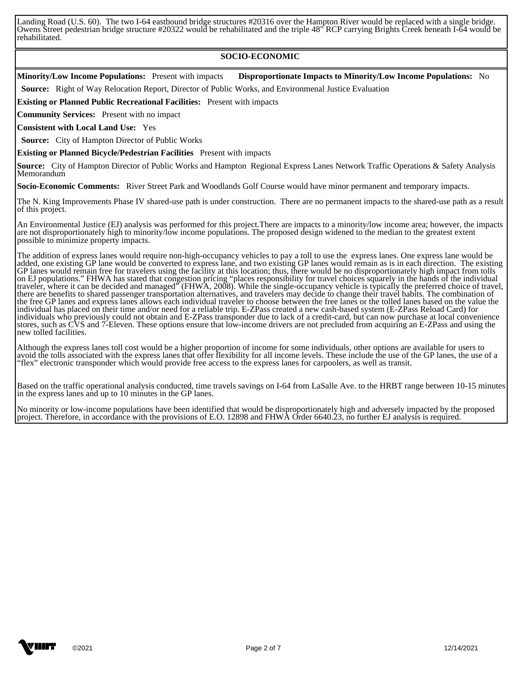Landing Road (U.S. 60). The two I-64 eastbound bridge structures #20316 over the Hampton River would be replaced with a single bridge. Owens Street pedestrian bridge structure #20322 would be rehabilitated and the triple 48" RCP carrying Brights Creek beneath I-64 would be rehabilitated.

#### **SOCIO-ECONOMIC**

**Minority/Low Income Populations:** Present with impacts **Disproportionate Impacts to Minority/Low Income Populations:** No

 **Source:** Right of Way Relocation Report, Director of Public Works, and Environmenal Justice Evaluation

**Existing or Planned Public Recreational Facilities:** Present with impacts

**Community Services:** Present with no impact

**Consistent with Local Land Use:** Yes

 **Source:** City of Hampton Director of Public Works

**Existing or Planned Bicycle/Pedestrian Facilities** Present with impacts

**Source:** City of Hampton Director of Public Works and Hampton Regional Express Lanes Network Traffic Operations & Safety Analysis Memorandum

**Socio-Economic Comments:** River Street Park and Woodlands Golf Course would have minor permanent and temporary impacts.

 The N. King Improvements Phase IV shared-use path is under construction. There are no permanent impacts to the shared-use path as a result of this project.

 An Environmental Justice (EJ) analysis was performed for this project.There are impacts to a minority/low income area; however, the impacts are not disproportionately high to minority/low income populations. The proposed design widened to the median to the greatest extent possible to minimize property impacts.

 The addition of express lanes would require non-high-occupancy vehicles to pay a toll to use the express lanes. One express lane would be added, one existing GP lane would be converted to express lane, and two existing GP lanes would remain as is in each direction. The existing GP lanes would remain free for travelers using the facility at this location; thus, there would be no disproportionately high impact from tolls on EJ populations." FHWA has stated that congestion pricing "places responsibility for travel choices squarely in the hands of the individual traveler, where it can be decided and managed" (FHWA, 2008). While the single-occupancy vehicle is typically the preferred choice of travel, there are benefits to shared passenger transportation alternatives, and travelers may decide to change their travel habits. The combination of the free GP lanes and express lanes allows each individual traveler to choose between the free lanes or the tolled lanes based on the value the individual has placed on their time and/or need for a reliable trip. E-ZPass created a new cash-based system (E-ZPass Reload Card) for individuals who previously could not obtain and E-ZPass transponder due to lack of a credit-card, but can now purchase at local convenience stores, such as CVS and 7-Eleven. These options ensure that low-income drivers are not precluded from acquiring an E-ZPass and using the new tolled facilities.

 Although the express lanes toll cost would be a higher proportion of income for some individuals, other options are available for users to avoid the tolls associated with the express lanes that offer flexibility for all income levels. These include the use of the GP lanes, the use of a "flex" electronic transponder which would provide free access to the express lanes for carpoolers, as well as transit.

 Based on the traffic operational analysis conducted, time travels savings on I-64 from LaSalle Ave. to the HRBT range between 10-15 minutes in the express lanes and up to 10 minutes in the GP lanes.

 No minority or low-income populations have been identified that would be disproportionately high and adversely impacted by the proposed project. Therefore, in accordance with the provisions of E.O. 12898 and FHWA Order 6640.23, no further EJ analysis is required. 

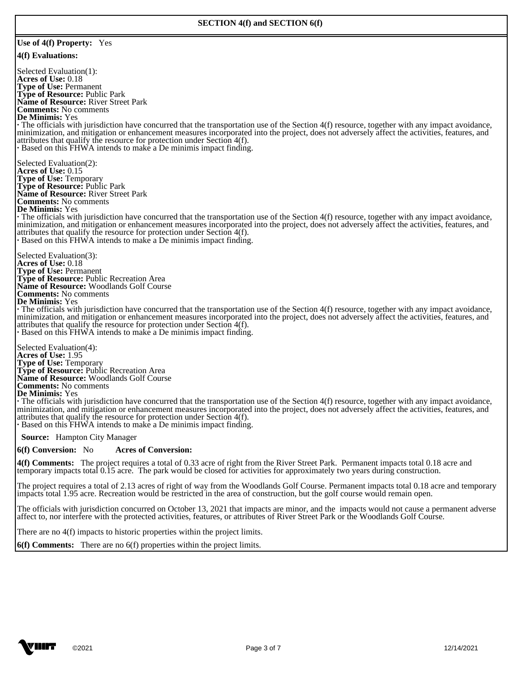#### **Use of 4(f) Property:** Yes

#### **4(f) Evaluations:**

 Selected Evaluation(1): **Acres of Use:** 0.18 **Type of Use:** Permanent **Type of Resource:** Public Park **Name of Resource:** River Street Park **Comments:** No comments **De Minimis:** Yes **·** The officials with jurisdiction have concurred that the transportation use of the Section 4(f) resource, together with any impact avoidance, minimization, and mitigation or enhancement measures incorporated into the project, does not adversely affect the activities, features, and attributes that qualify the resource for protection under Section 4(f). **·** Based on this FHWA intends to make a De minimis impact finding. Selected Evaluation(2): **Acres of Use:** 0.15 **Type of Use:** Temporary **Type of Resource:** Public Park **Name of Resource:** River Street Park **Comments:** No comments **De Minimis:** Yes **·** The officials with jurisdiction have concurred that the transportation use of the Section 4(f) resource, together with any impact avoidance, minimization, and mitigation or enhancement measures incorporated into the project, does not adversely affect the activities, features, and attributes that qualify the resource for protection under Section 4(f). **·** Based on this FHWA intends to make a De minimis impact finding. Selected Evaluation(3): **Acres of Use:** 0.18 **Type of Use:** Permanent

**Comments:** No comments **De Minimis:** Yes **·** The officials with jurisdiction have concurred that the transportation use of the Section 4(f) resource, together with any impact avoidance, minimization, and mitigation or enhancement measures incorporated into the project, does not adversely affect the activities, features, and attributes that qualify the resource for protection under Section 4(f). **·** Based on this FHWA intends to make a De minimis impact finding.

 Selected Evaluation(4): **Acres of Use:** 1.95 **Type of Use:** Temporary **Type of Resource:** Public Recreation Area **Name of Resource:** Woodlands Golf Course **Comments:** No comments **De Minimis:** Yes

**Type of Resource:** Public Recreation Area **Name of Resource:** Woodlands Golf Course

**·** The officials with jurisdiction have concurred that the transportation use of the Section 4(f) resource, together with any impact avoidance, minimization, and mitigation or enhancement measures incorporated into the project, does not adversely affect the activities, features, and attributes that qualify the resource for protection under Section 4(f). **·** Based on this FHWA intends to make a De minimis impact finding.

 **Source:** Hampton City Manager

#### **6(f) Conversion:** No **Acres of Conversion:**

**4(f) Comments:** The project requires a total of 0.33 acre of right from the River Street Park. Permanent impacts total 0.18 acre and temporary impacts total 0.15 acre. The park would be closed for activities for approximately two years during construction.

 The project requires a total of 2.13 acres of right of way from the Woodlands Golf Course. Permanent impacts total 0.18 acre and temporary impacts total 1.95 acre. Recreation would be restricted in the area of construction, but the golf course would remain open.

The officials with jurisdiction concurred on October 13, 2021 that impacts are minor, and the impacts would not cause a permanent adverse affect to, nor interfere with the protected activities, features, or attributes of River Street Park or the Woodlands Golf Course.

There are no 4(f) impacts to historic properties within the project limits.

**6(f) Comments:** There are no 6(f) properties within the project limits. 

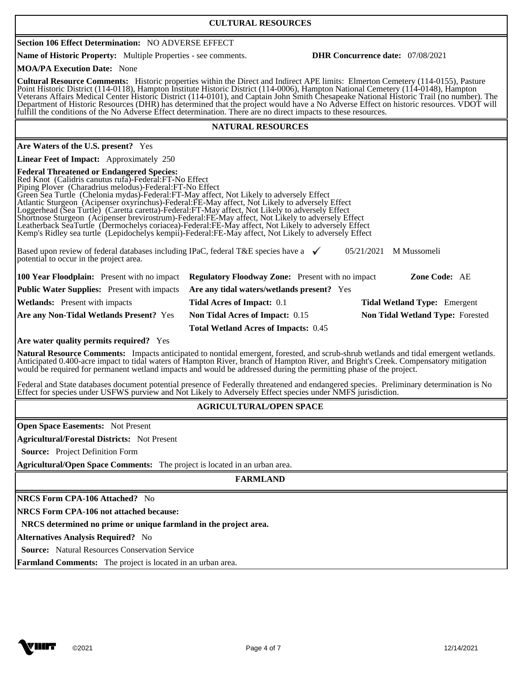### **CULTURAL RESOURCES**

# **Section 106 Effect Determination:** NO ADVERSE EFFECT

**Name of Historic Property:** Multiple Properties - see comments. **DHR Concurrence date:** 07/08/2021

**MOA/PA Execution Date:** None

**Cultural Resource Comments:** Historic properties within the Direct and Indirect APE limits: Elmerton Cemetery (114-0155), Pasture Point Historic District (114-0118), Hampton Institute Historic District (114-0006), Hampton National Cemetery (114-0148), Hampton Veterans Affairs Medical Center Historic District (114-0101), and Captain John Smith Chesapeake National Historic Trail (no number). The Department of Historic Resources (DHR) has determined that the project would have a No Adverse Effect on historic resources. VDOT will fulfill the conditions of the No Adverse Effect determination. There are no direct impacts to these resources. 

#### **NATURAL RESOURCES**

**Are Waters of the U.S. present?** Yes **Linear Feet of Impact:** Approximately 250 **Federal Threatened or Endangered Species:**  Red Knot (Calidris canutus rufa)-Federal:FT-No Effect Piping Plover (Charadrius melodus)-Federal:FT-No Effect Green Sea Turtle (Chelonia mydas)-Federal:FT-May affect, Not Likely to adversely Effect Atlantic Sturgeon (Acipenser oxyrinchus)-Federal:FE-May affect, Not Likely to adversely Effect Loggerhead (Sea Turtle) (Caretta caretta)-Federal:FT-May affect, Not Likely to adversely Effect Shortnose Sturgeon (Acipenser brevirostrum)-Federal:FE-May affect, Not Likely to adversely Effect Leatherback SeaTurtle (Dermochelys coriacea)-Federal:FE-May affect, Not Likely to adversely Effect Kemp's Ridley sea turtle (Lepidochelys kempii)-Federal:FE-May affect, Not Likely to adversely Effect Based upon review of federal databases including IPaC, federal T&E species have a  $\checkmark$ potential to occur in the project area. 05/21/2021 M Mussomeli **100 Year Floodplain:** Present with no impact **Regulatory Floodway Zone:** Present with no impact **Zone Code:** AE **Public Water Supplies:** Present with impacts **Are any tidal waters/wetlands present?** Yes **Wetlands:** Present with impacts **Tidal Acres of Impact:** 0.1 **Tidal Wetland Type:** Emergent **Are any Non-Tidal Wetlands Present?** Yes **Non Tidal Acres of Impact:** 0.15 **Non Tidal Wetland Type:** Forested **Total Wetland Acres of Impacts:** 0.45 **Are water quality permits required?** Yes **Natural Resource Comments:** Impacts anticipated to nontidal emergent, forested, and scrub-shrub wetlands and tidal emergent wetlands. Anticipated 0.400-acre impact to tidal waters of Hampton River, branch of Hampton River, and Bright's Creek. Compensatory mitigation would be required for permanent wetland impacts and would be addressed during the permitting phase of the project.

 Federal and State databases document potential presence of Federally threatened and endangered species. Preliminary determination is No Effect for species under USFWS purview and Not Likely to Adversely Effect species under NMFS jurisdiction. 

# **AGRICULTURAL/OPEN SPACE**

**Open Space Easements:** Not Present

**Agricultural/Forestal Districts:** Not Present

 **Source:** Project Definition Form

**Agricultural/Open Space Comments:** The project is located in an urban area. 

**FARMLAND** 

**NRCS Form CPA-106 Attached?** No

**NRCS Form CPA-106 not attached because:** 

 **NRCS determined no prime or unique farmland in the project area.** 

**Alternatives Analysis Required?** No

 **Source:** Natural Resources Conservation Service

**Farmland Comments:** The project is located in an urban area.

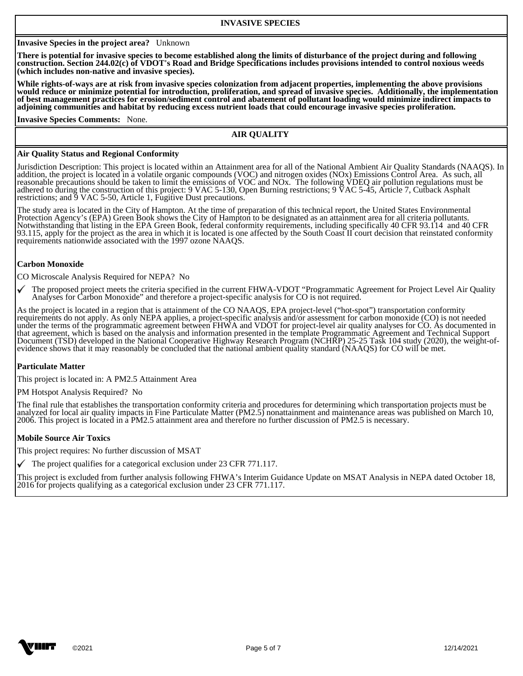### **Invasive Species in the project area?** Unknown

**There is potential for invasive species to become established along the limits of disturbance of the project during and following construction. Section 244.02(c) of VDOT's Road and Bridge Specifications includes provisions intended to control noxious weeds (which includes non-native and invasive species).** 

**While rights-of-ways are at risk from invasive species colonization from adjacent properties, implementing the above provisions would reduce or minimize potential for introduction, proliferation, and spread of invasive species. Additionally, the implementation of best management practices for erosion/sediment control and abatement of pollutant loading would minimize indirect impacts to adjoining communities and habitat by reducing excess nutrient loads that could encourage invasive species proliferation.** 

**Invasive Species Comments:** None.

#### **AIR QUALITY**

#### **Air Quality Status and Regional Conformity**

Jurisdiction Description: This project is located within an Attainment area for all of the National Ambient Air Quality Standards (NAAQS). In addition, the project is located in a volatile organic compounds (VOC) and nitrogen oxides (NOx) Emissions Control Area. As such, all reasonable precautions should be taken to limit the emissions of VOC and NOx. The following VDEQ air pollution regulations must be adhered to during the construction of this project: 9 VAC 5-130, Open Burning restrictions; 9 VAC 5-45, Article 7, Cutback Asphalt restrictions; and 9 VAC 5-50, Article 1, Fugitive Dust precautions.

The study area is located in the City of Hampton. At the time of preparation of this technical report, the United States Environmental Protection Agency's (EPA) Green Book shows the City of Hampton to be designated as an attainment area for all criteria pollutants. Notwithstanding that listing in the EPA Green Book, federal conformity requirements, including specifically 40 CFR 93.114 and 40 CFR 93.115, apply for the project as the area in which it is located is one affected by the South Coast II court decision that reinstated conformity requirements nationwide associated with the 1997 ozone NAAQS.

#### **Carbon Monoxide**

CO Microscale Analysis Required for NEPA? No

The proposed project meets the criteria specified in the current FHWA-VDOT "Programmatic Agreement for Project Level Air Quality Analyses for Carbon Monoxide" and therefore a project-specific analysis for CO is not required.

As the project is located in a region that is attainment of the CO NAAQS, EPA project-level ("hot-spot") transportation conformity requirements do not apply. As only NEPA applies, a project-specific analysis and/or assessment for carbon monoxide (CO) is not needed under the terms of the programmatic agreement between FHWA and VDOT for project-level air quality analyses for CO. As documented in that agreement, which is based on the analysis and information presented in the template Programmatic Agreement and Technical Support Document (TSD) developed in the National Cooperative Highway Research Program (NCHRP) 25-25 Task 104 study (2020), the weight-ofevidence shows that it may reasonably be concluded that the national ambient quality standard (NAAQS) for CO will be met.

### **Particulate Matter**

This project is located in: A PM2.5 Attainment Area

PM Hotspot Analysis Required? No

The final rule that establishes the transportation conformity criteria and procedures for determining which transportation projects must be analyzed for local air quality impacts in Fine Particulate Matter (PM2.5) nonattainment and maintenance areas was published on March 10, 2006. This project is located in a PM2.5 attainment area and therefore no further discussion of PM2.5 is necessary.

#### **Mobile Source Air Toxics**

This project requires: No further discussion of MSAT

 $\checkmark$  The project qualifies for a categorical exclusion under 23 CFR 771.117.

This project is excluded from further analysis following FHWA's Interim Guidance Update on MSAT Analysis in NEPA dated October 18, 2016 for projects qualifying as a categorical exclusion under 23 CFR 771.117.